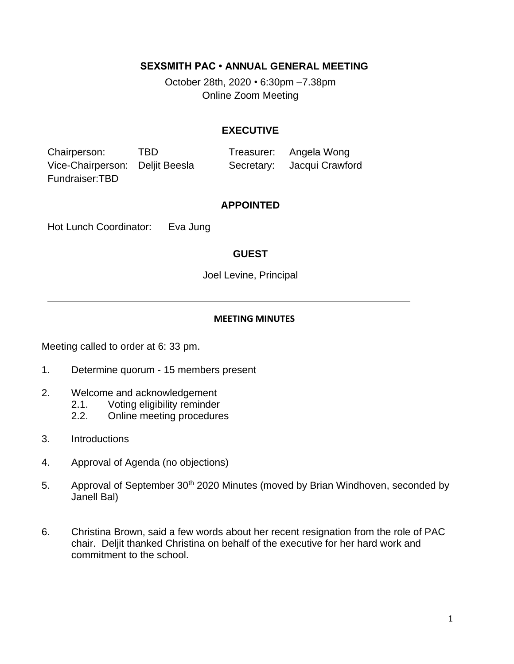## **SEXSMITH PAC • ANNUAL GENERAL MEETING**

October 28th, 2020 *•* 6:30pm –7.38pm Online Zoom Meeting

### **EXECUTIVE**

Chairperson: TBD Treasurer: Angela Wong Vice-Chairperson: Deljit Beesla Secretary: Jacqui Crawford Fundraiser:TBD

### **APPOINTED**

Hot Lunch Coordinator: Eva Jung

## **GUEST**

Joel Levine, Principal

#### **MEETING MINUTES**

Meeting called to order at 6: 33 pm.

- 1. Determine quorum 15 members present
- 2. Welcome and acknowledgement
	- 2.1. Voting eligibility reminder
	- 2.2. Online meeting procedures
- 3. Introductions
- 4. Approval of Agenda (no objections)
- 5. Approval of September 30<sup>th</sup> 2020 Minutes (moved by Brian Windhoven, seconded by Janell Bal)
- 6. Christina Brown, said a few words about her recent resignation from the role of PAC chair. Deljit thanked Christina on behalf of the executive for her hard work and commitment to the school.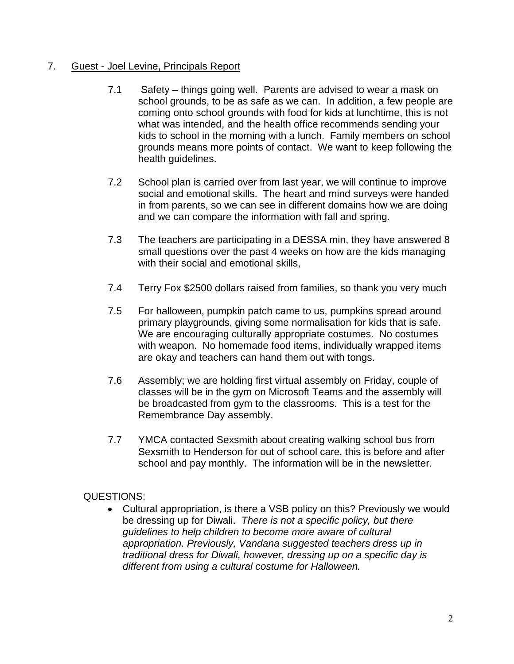# 7. Guest - Joel Levine, Principals Report

- 7.1 Safety things going well. Parents are advised to wear a mask on school grounds, to be as safe as we can. In addition, a few people are coming onto school grounds with food for kids at lunchtime, this is not what was intended, and the health office recommends sending your kids to school in the morning with a lunch. Family members on school grounds means more points of contact. We want to keep following the health guidelines.
- 7.2 School plan is carried over from last year, we will continue to improve social and emotional skills. The heart and mind surveys were handed in from parents, so we can see in different domains how we are doing and we can compare the information with fall and spring.
- 7.3 The teachers are participating in a DESSA min, they have answered 8 small questions over the past 4 weeks on how are the kids managing with their social and emotional skills.
- 7.4 Terry Fox \$2500 dollars raised from families, so thank you very much
- 7.5 For halloween, pumpkin patch came to us, pumpkins spread around primary playgrounds, giving some normalisation for kids that is safe. We are encouraging culturally appropriate costumes. No costumes with weapon. No homemade food items, individually wrapped items are okay and teachers can hand them out with tongs.
- 7.6 Assembly; we are holding first virtual assembly on Friday, couple of classes will be in the gym on Microsoft Teams and the assembly will be broadcasted from gym to the classrooms. This is a test for the Remembrance Day assembly.
- 7.7 YMCA contacted Sexsmith about creating walking school bus from Sexsmith to Henderson for out of school care, this is before and after school and pay monthly. The information will be in the newsletter.

# QUESTIONS:

• Cultural appropriation, is there a VSB policy on this? Previously we would be dressing up for Diwali. *There is not a specific policy, but there guidelines to help children to become more aware of cultural appropriation. Previously, Vandana suggested teachers dress up in traditional dress for Diwali, however, dressing up on a specific day is different from using a cultural costume for Halloween.*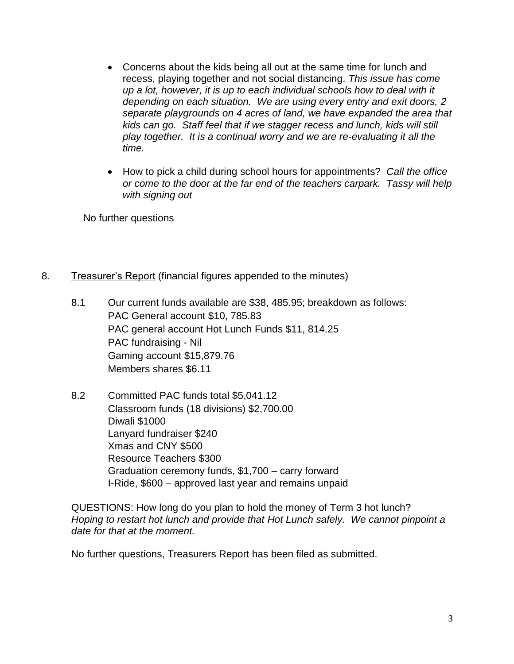- Concerns about the kids being all out at the same time for lunch and recess, playing together and not social distancing. *This issue has come up a lot, however, it is up to each individual schools how to deal with it depending on each situation. We are using every entry and exit doors, 2 separate playgrounds on 4 acres of land, we have expanded the area that kids can go. Staff feel that if we stagger recess and lunch, kids will still play together. It is a continual worry and we are re-evaluating it all the time.*
- How to pick a child during school hours for appointments? *Call the office or come to the door at the far end of the teachers carpark. Tassy will help with signing out*

No further questions

- 8. Treasurer's Report (financial figures appended to the minutes)
	- 8.1 Our current funds available are \$38, 485.95; breakdown as follows: PAC General account \$10, 785.83 PAC general account Hot Lunch Funds \$11, 814.25 PAC fundraising - Nil Gaming account \$15,879.76 Members shares \$6.11
	- 8.2 Committed PAC funds total \$5,041.12 Classroom funds (18 divisions) \$2,700.00 Diwali \$1000 Lanyard fundraiser \$240 Xmas and CNY \$500 Resource Teachers \$300 Graduation ceremony funds, \$1,700 – carry forward I-Ride, \$600 – approved last year and remains unpaid

QUESTIONS: How long do you plan to hold the money of Term 3 hot lunch? *Hoping to restart hot lunch and provide that Hot Lunch safely. We cannot pinpoint a date for that at the moment.*

No further questions, Treasurers Report has been filed as submitted.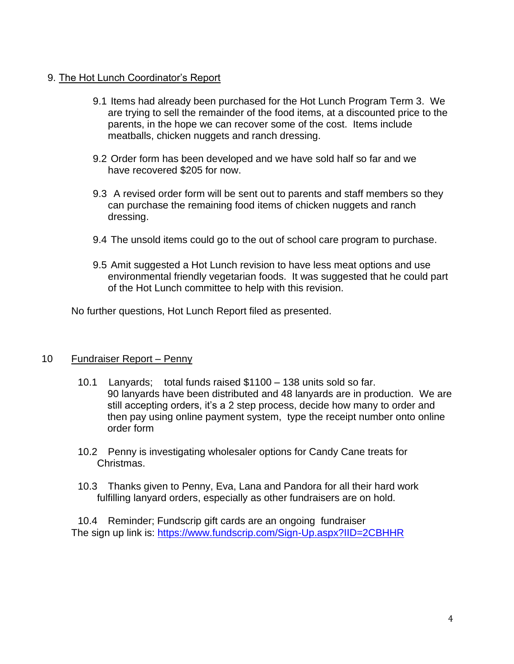## 9. The Hot Lunch Coordinator's Report

- 9.1 Items had already been purchased for the Hot Lunch Program Term 3. We are trying to sell the remainder of the food items, at a discounted price to the parents, in the hope we can recover some of the cost. Items include meatballs, chicken nuggets and ranch dressing.
- 9.2 Order form has been developed and we have sold half so far and we have recovered \$205 for now.
- 9.3 A revised order form will be sent out to parents and staff members so they can purchase the remaining food items of chicken nuggets and ranch dressing.
- 9.4 The unsold items could go to the out of school care program to purchase.
- 9.5 Amit suggested a Hot Lunch revision to have less meat options and use environmental friendly vegetarian foods. It was suggested that he could part of the Hot Lunch committee to help with this revision.

No further questions, Hot Lunch Report filed as presented.

## 10 Fundraiser Report – Penny

- 10.1 Lanyards; total funds raised \$1100 138 units sold so far. 90 lanyards have been distributed and 48 lanyards are in production. We are still accepting orders, it's a 2 step process, decide how many to order and then pay using online payment system, type the receipt number onto online order form
- 10.2 Penny is investigating wholesaler options for Candy Cane treats for Christmas.
- 10.3 Thanks given to Penny, Eva, Lana and Pandora for all their hard work fulfilling lanyard orders, especially as other fundraisers are on hold.

10.4 Reminder; Fundscrip gift cards are an ongoing fundraiser The sign up link is:<https://www.fundscrip.com/Sign-Up.aspx?IID=2CBHHR>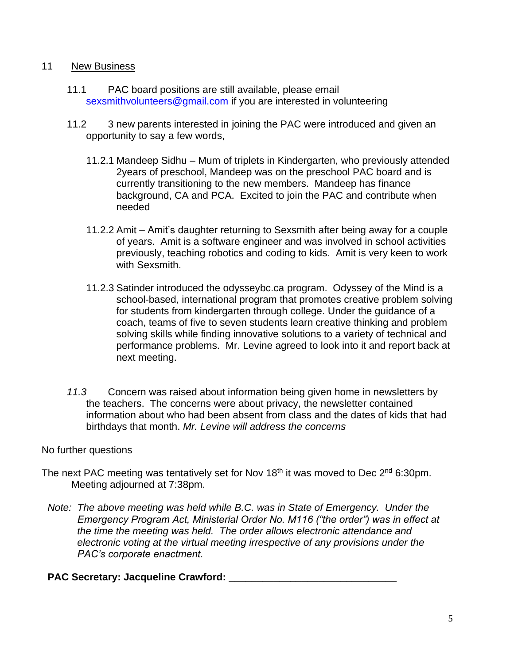## 11 New Business

- 11.1 PAC board positions are still available, please email [sexsmithvolunteers@gmail.com](mailto:sexsmithvolunteers@gmail.com) if you are interested in volunteering
- 11.2 3 new parents interested in joining the PAC were introduced and given an opportunity to say a few words,
	- 11.2.1 Mandeep Sidhu Mum of triplets in Kindergarten, who previously attended 2years of preschool, Mandeep was on the preschool PAC board and is currently transitioning to the new members. Mandeep has finance background, CA and PCA. Excited to join the PAC and contribute when needed
	- 11.2.2 Amit Amit's daughter returning to Sexsmith after being away for a couple of years. Amit is a software engineer and was involved in school activities previously, teaching robotics and coding to kids. Amit is very keen to work with Sexsmith.
	- 11.2.3 Satinder introduced the odysseybc.ca program. Odyssey of the Mind is a school-based, international program that promotes creative problem solving for students from kindergarten through college. Under the guidance of a coach, teams of five to seven students learn creative thinking and problem solving skills while finding innovative solutions to a variety of technical and performance problems. Mr. Levine agreed to look into it and report back at next meeting.
- *11.3* Concern was raised about information being given home in newsletters by the teachers. The concerns were about privacy, the newsletter contained information about who had been absent from class and the dates of kids that had birthdays that month. *Mr. Levine will address the concerns*

### No further questions

- The next PAC meeting was tentatively set for Nov 18<sup>th</sup> it was moved to Dec  $2^{nd}$  6:30pm. Meeting adjourned at 7:38pm.
	- *Note: The above meeting was held while B.C. was in State of Emergency. Under the Emergency Program Act, Ministerial Order No. M116 ("the order") was in effect at the time the meeting was held. The order allows electronic attendance and electronic voting at the virtual meeting irrespective of any provisions under the PAC's corporate enactment.*

## PAC Secretary: Jacqueline Crawford: